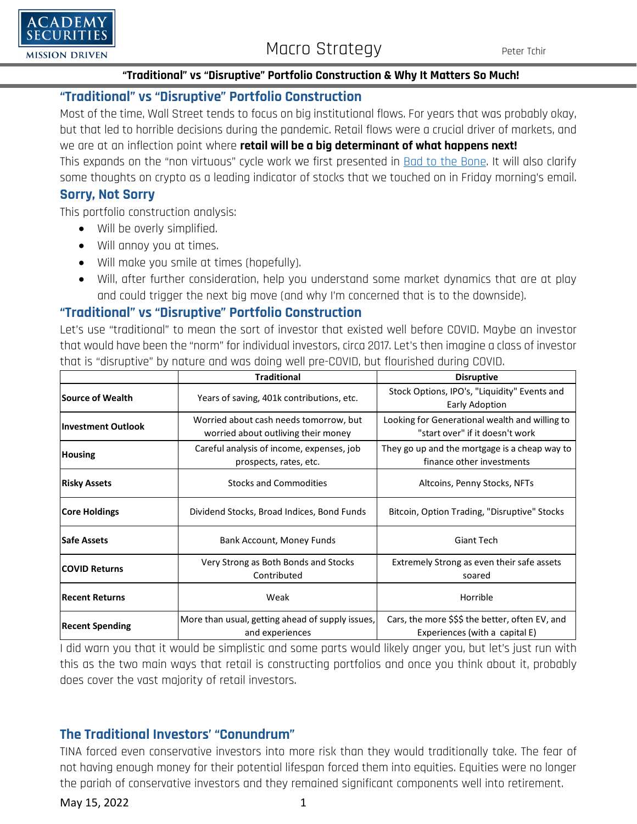

### **"Traditional" vs "Disruptive" Portfolio Construction & Why It Matters So Much!**

### **"Traditional" vs "Disruptive" Portfolio Construction**

Most of the time, Wall Street tends to focus on big institutional flows. For years that was probably okay, but that led to horrible decisions during the pandemic. Retail flows were a crucial driver of markets, and we are at an inflection point where **retail will be a big determinant of what happens next!** This expands on the "non virtuous" cycle work we first presented in [Bad to the Bone.](https://www.academysecurities.com/wordpress/wp-content/uploads/2022/04/Bad-to-the-Bone.pdf) It will also clarify some thoughts on crypto as a leading indicator of stocks that we touched on in Friday morning's email.

### **Sorry, Not Sorry**

This portfolio construction analysis:

- Will be overly simplified.
- Will annoy you at times.
- Will make you smile at times (hopefully).
- Will, after further consideration, help you understand some market dynamics that are at play and could trigger the next big move (and why I'm concerned that is to the downside).

### **"Traditional" vs "Disruptive" Portfolio Construction**

Let's use "traditional" to mean the sort of investor that existed well before COVID. Maybe an investor that would have been the "norm" for individual investors, circa 2017. Let's then imagine a class of investor that is "disruptive" by nature and was doing well pre-COVID, but flourished during COVID.

|                           | <b>Traditional</b>                                                            | <b>Disruptive</b>                                                                 |
|---------------------------|-------------------------------------------------------------------------------|-----------------------------------------------------------------------------------|
| Source of Wealth          | Years of saving, 401k contributions, etc.                                     | Stock Options, IPO's, "Liquidity" Events and<br>Early Adoption                    |
| <b>Investment Outlook</b> | Worried about cash needs tomorrow, but<br>worried about outliving their money | Looking for Generational wealth and willing to<br>"start over" if it doesn't work |
| <b>Housing</b>            | Careful analysis of income, expenses, job<br>prospects, rates, etc.           | They go up and the mortgage is a cheap way to<br>finance other investments        |
| <b>Risky Assets</b>       | <b>Stocks and Commodities</b>                                                 | Altcoins, Penny Stocks, NFTs                                                      |
| <b>Core Holdings</b>      | Dividend Stocks, Broad Indices, Bond Funds                                    | Bitcoin, Option Trading, "Disruptive" Stocks                                      |
| <b>Safe Assets</b>        | Bank Account, Money Funds                                                     | Giant Tech                                                                        |
| <b>COVID Returns</b>      | Very Strong as Both Bonds and Stocks<br>Contributed                           | Extremely Strong as even their safe assets<br>soared                              |
| <b>Recent Returns</b>     | Weak                                                                          | Horrible                                                                          |
| <b>Recent Spending</b>    | More than usual, getting ahead of supply issues,<br>and experiences           | Cars, the more \$\$\$ the better, often EV, and<br>Experiences (with a capital E) |

I did warn you that it would be simplistic and some parts would likely anger you, but let's just run with this as the two main ways that retail is constructing portfolios and once you think about it, probably does cover the vast majority of retail investors.

### **The Traditional Investors' "Conundrum"**

TINA forced even conservative investors into more risk than they would traditionally take. The fear of not having enough money for their potential lifespan forced them into equities. Equities were no longer the pariah of conservative investors and they remained significant components well into retirement.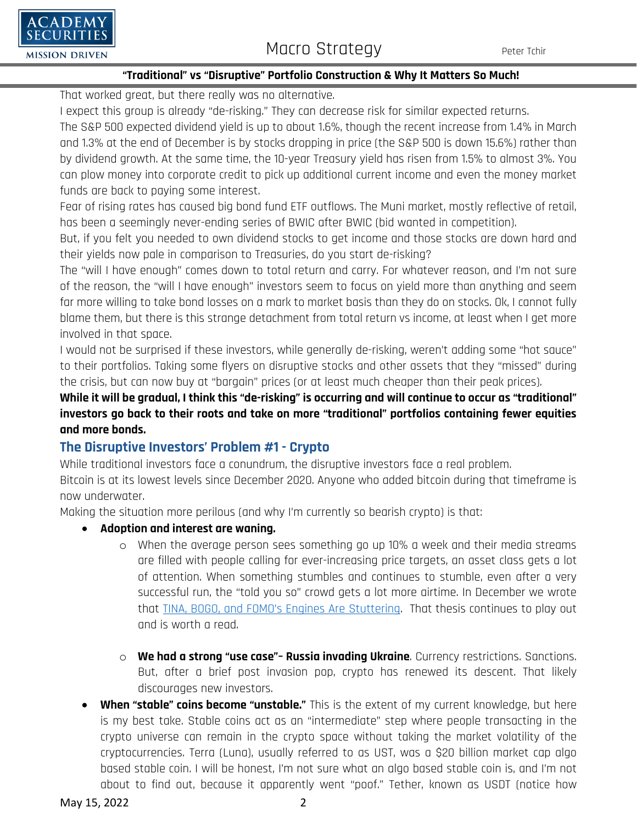# $\Box$ A DEMY **SECURITIES**

### **"Traditional" vs "Disruptive" Portfolio Construction & Why It Matters So Much!**

That worked great, but there really was no alternative.

I expect this group is already "de-risking." They can decrease risk for similar expected returns.

The S&P 500 expected dividend yield is up to about 1.6%, though the recent increase from 1.4% in March and 1.3% at the end of December is by stocks dropping in price (the S&P 500 is down 15.6%) rather than by dividend growth. At the same time, the 10-year Treasury yield has risen from 1.5% to almost 3%. You can plow money into corporate credit to pick up additional current income and even the money market funds are back to paying some interest.

Fear of rising rates has caused big bond fund ETF outflows. The Muni market, mostly reflective of retail, has been a seemingly never-ending series of BWIC after BWIC (bid wanted in competition).

But, if you felt you needed to own dividend stocks to get income and those stocks are down hard and their yields now pale in comparison to Treasuries, do you start de-risking?

The "will I have enough" comes down to total return and carry. For whatever reason, and I'm not sure of the reason, the "will I have enough" investors seem to focus on yield more than anything and seem far more willing to take bond losses on a mark to market basis than they do on stocks. Ok, I cannot fully blame them, but there is this strange detachment from total return vs income, at least when I get more involved in that space.

I would not be surprised if these investors, while generally de-risking, weren't adding some "hot sauce" to their portfolios. Taking some flyers on disruptive stocks and other assets that they "missed" during the crisis, but can now buy at "bargain" prices (or at least much cheaper than their peak prices).

**While it will be gradual, I think this "de-risking" is occurring and will continue to occur as "traditional" investors go back to their roots and take on more "traditional" portfolios containing fewer equities and more bonds.**

## **The Disruptive Investors' Problem #1 - Crypto**

While traditional investors face a conundrum, the disruptive investors face a real problem.

Bitcoin is at its lowest levels since December 2020. Anyone who added bitcoin during that timeframe is now underwater.

Making the situation more perilous (and why I'm currently so bearish crypto) is that:

### • **Adoption and interest are waning.**

- o When the average person sees something go up 10% a week and their media streams are filled with people calling for ever-increasing price targets, an asset class gets a lot of attention. When something stumbles and continues to stumble, even after a very successful run, the "told you so" crowd gets a lot more airtime. In December we wrote that TINA, BOGO, [and FOMO's Engines Are Stuttering.](https://www.academysecurities.com/wordpress/wp-content/uploads/2021/12/TINA-BOGO-and-FOMOs-Engines-are-Stuttering.pdf) That thesis continues to play out and is worth a read.
- o **We had a strong "use case"– Russia invading Ukraine**. Currency restrictions. Sanctions. But, after a brief post invasion pop, crypto has renewed its descent. That likely discourages new investors.
- **When "stable" coins become "unstable."** This is the extent of my current knowledge, but here is my best take. Stable coins act as an "intermediate" step where people transacting in the crypto universe can remain in the crypto space without taking the market volatility of the cryptocurrencies. Terra (Luna), usually referred to as UST, was a \$20 billion market cap algo based stable coin. I will be honest, I'm not sure what an algo based stable coin is, and I'm not about to find out, because it apparently went "poof." Tether, known as USDT (notice how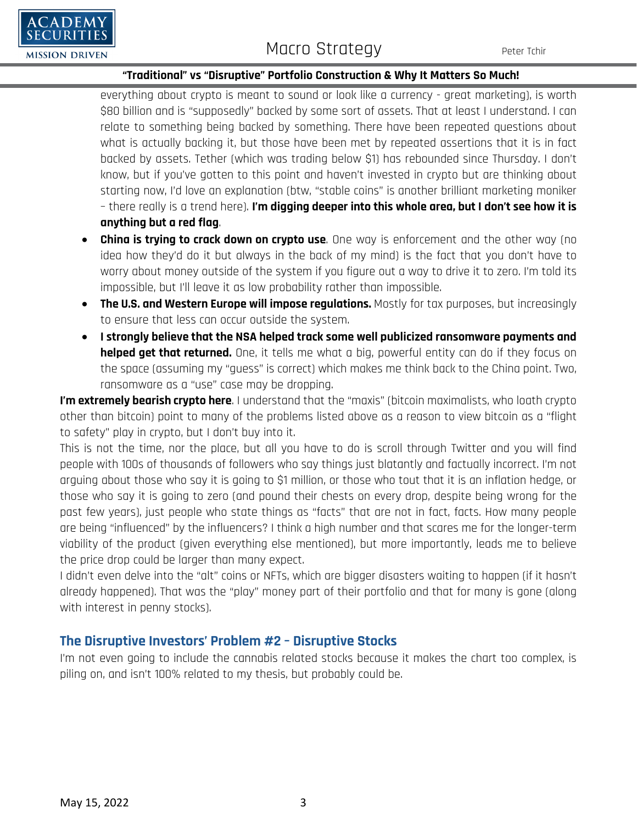

# **MACRO STRATEGY** Peter Tchir Macro Strategy Peter Tchir

### **"Traditional" vs "Disruptive" Portfolio Construction & Why It Matters So Much!**

everything about crypto is meant to sound or look like a currency - great marketing), is worth \$80 billion and is "supposedly" backed by some sort of assets. That at least I understand. I can relate to something being backed by something. There have been repeated questions about what is actually backing it, but those have been met by repeated assertions that it is in fact backed by assets. Tether (which was trading below \$1) has rebounded since Thursday. I don't know, but if you've gotten to this point and haven't invested in crypto but are thinking about starting now, I'd love an explanation (btw, "stable coins" is another brilliant marketing moniker – there really is a trend here). **I'm digging deeper into this whole area, but I don't see how it is anything but a red flag**.

- **China is trying to crack down on crypto use**. One way is enforcement and the other way (no idea how they'd do it but always in the back of my mind) is the fact that you don't have to worry about money outside of the system if you figure out a way to drive it to zero. I'm told its impossible, but I'll leave it as low probability rather than impossible.
- **The U.S. and Western Europe will impose regulations.** Mostly for tax purposes, but increasingly to ensure that less can occur outside the system.
- **I strongly believe that the NSA helped track some well publicized ransomware payments and helped get that returned.** One, it tells me what a big, powerful entity can do if they focus on the space (assuming my "guess" is correct) which makes me think back to the China point. Two, ransomware as a "use" case may be dropping.

**I'm extremely bearish crypto here.** I understand that the "maxis" (bitcoin maximalists, who loath crypto other than bitcoin) point to many of the problems listed above as a reason to view bitcoin as a "flight to safety" play in crypto, but I don't buy into it.

This is not the time, nor the place, but all you have to do is scroll through Twitter and you will find people with 100s of thousands of followers who say things just blatantly and factually incorrect. I'm not arguing about those who say it is going to \$1 million, or those who tout that it is an inflation hedge, or those who say it is going to zero (and pound their chests on every drop, despite being wrong for the past few years), just people who state things as "facts" that are not in fact, facts. How many people are being "influenced" by the influencers? I think a high number and that scares me for the longer-term viability of the product (given everything else mentioned), but more importantly, leads me to believe the price drop could be larger than many expect.

I didn't even delve into the "alt" coins or NFTs, which are bigger disasters waiting to happen (if it hasn't already happened). That was the "play" money part of their portfolio and that for many is gone (along with interest in penny stocks).

### **The Disruptive Investors' Problem #2 – Disruptive Stocks**

I'm not even going to include the cannabis related stocks because it makes the chart too complex, is piling on, and isn't 100% related to my thesis, but probably could be.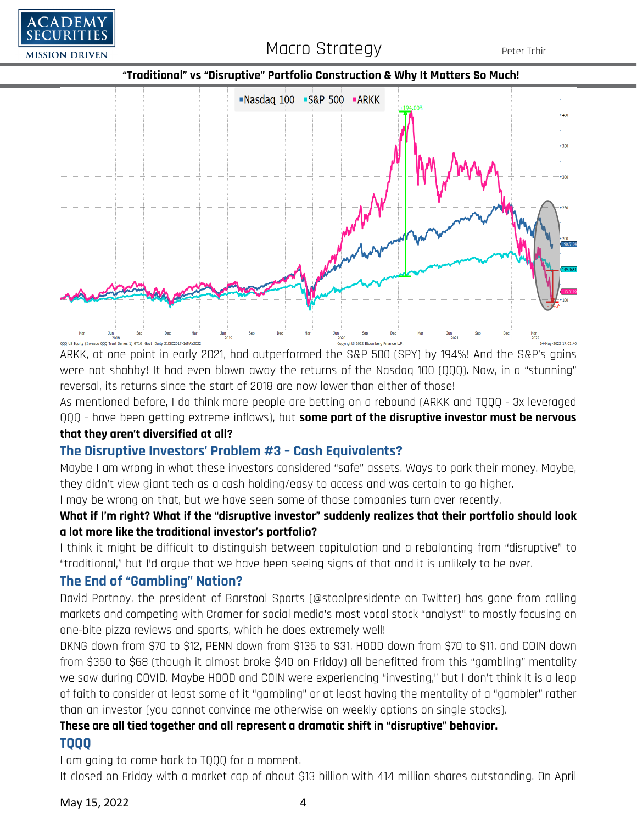





ARKK, at one point in early 2021, had outperformed the S&P 500 (SPY) by 194%! And the S&P's gains were not shabby! It had even blown away the returns of the Nasdaq 100 (QQQ). Now, in a "stunning" reversal, its returns since the start of 2018 are now lower than either of those!

As mentioned before, I do think more people are betting on a rebound (ARKK and TQQQ - 3x leveraged QQQ - have been getting extreme inflows), but **some part of the disruptive investor must be nervous that they aren't diversified at all?**

## **The Disruptive Investors' Problem #3 – Cash Equivalents?**

Maybe I am wrong in what these investors considered "safe" assets. Ways to park their money. Maybe, they didn't view giant tech as a cash holding/easy to access and was certain to go higher.

I may be wrong on that, but we have seen some of those companies turn over recently.

### **What if I'm right? What if the "disruptive investor" suddenly realizes that their portfolio should look a lot more like the traditional investor's portfolio?**

I think it might be difficult to distinguish between capitulation and a rebalancing from "disruptive" to "traditional," but I'd argue that we have been seeing signs of that and it is unlikely to be over.

### **The End of "Gambling" Nation?**

David Portnoy, the president of Barstool Sports (@stoolpresidente on Twitter) has gone from calling markets and competing with Cramer for social media's most vocal stock "analyst" to mostly focusing on one-bite pizza reviews and sports, which he does extremely well!

DKNG down from \$70 to \$12, PENN down from \$135 to \$31, HOOD down from \$70 to \$11, and COIN down from \$350 to \$68 (though it almost broke \$40 on Friday) all benefitted from this "gambling" mentality we saw during COVID. Maybe HOOD and COIN were experiencing "investing," but I don't think it is a leap of faith to consider at least some of it "gambling" or at least having the mentality of a "gambler" rather than an investor (you cannot convince me otherwise on weekly options on single stocks).

# **These are all tied together and all represent a dramatic shift in "disruptive" behavior.**

### **TQQQ**

I am going to come back to TQQQ for a moment.

It closed on Friday with a market cap of about \$13 billion with 414 million shares outstanding. On April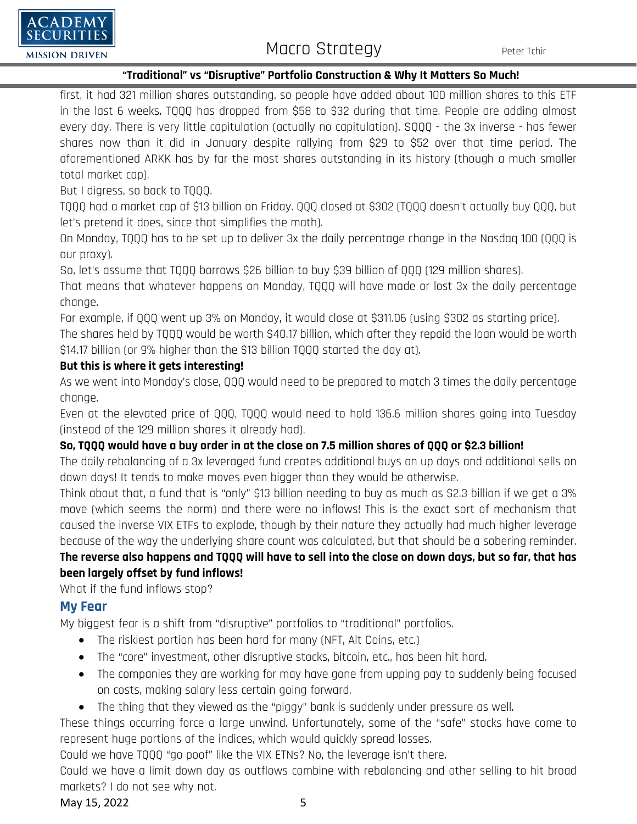

### **"Traditional" vs "Disruptive" Portfolio Construction & Why It Matters So Much!**

first, it had 321 million shares outstanding, so people have added about 100 million shares to this ETF in the last 6 weeks. TQQQ has dropped from \$58 to \$32 during that time. People are adding almost every day. There is very little capitulation (actually no capitulation). SQQQ - the 3x inverse - has fewer shares now than it did in January despite rallying from \$29 to \$52 over that time period. The aforementioned ARKK has by far the most shares outstanding in its history (though a much smaller total market cap).

But I digress, so back to TQQQ.

TQQQ had a market cap of \$13 billion on Friday. QQQ closed at \$302 (TQQQ doesn't actually buy QQQ, but let's pretend it does, since that simplifies the math).

On Monday, TQQQ has to be set up to deliver 3x the daily percentage change in the Nasdaq 100 (QQQ is our proxy).

So, let's assume that TQQQ borrows \$26 billion to buy \$39 billion of QQQ (129 million shares).

That means that whatever happens on Monday, TQQQ will have made or lost 3x the daily percentage change.

For example, if QQQ went up 3% on Monday, it would close at \$311.06 (using \$302 as starting price).

The shares held by TQQQ would be worth \$40.17 billion, which after they repaid the loan would be worth \$14.17 billion (or 9% higher than the \$13 billion TQQQ started the day at).

### **But this is where it gets interesting!**

As we went into Monday's close, QQQ would need to be prepared to match 3 times the daily percentage change.

Even at the elevated price of QQQ, TQQQ would need to hold 136.6 million shares going into Tuesday (instead of the 129 million shares it already had).

### **So, TQQQ would have a buy order in at the close on 7.5 million shares of QQQ or \$2.3 billion!**

The daily rebalancing of a 3x leveraged fund creates additional buys on up days and additional sells on down days! It tends to make moves even bigger than they would be otherwise.

Think about that, a fund that is "only" \$13 billion needing to buy as much as \$2.3 billion if we get a 3% move (which seems the norm) and there were no inflows! This is the exact sort of mechanism that caused the inverse VIX ETFs to explode, though by their nature they actually had much higher leverage because of the way the underlying share count was calculated, but that should be a sobering reminder.

## **The reverse also happens and TQQQ will have to sell into the close on down days, but so far, that has been largely offset by fund inflows!**

What if the fund inflows stop?

## **My Fear**

My biggest fear is a shift from "disruptive" portfolios to "traditional" portfolios.

- The riskiest portion has been hard for many (NFT, Alt Coins, etc.)
- The "core" investment, other disruptive stocks, bitcoin, etc., has been hit hard.
- The companies they are working for may have gone from upping pay to suddenly being focused on costs, making salary less certain going forward.
- The thing that they viewed as the "piggy" bank is suddenly under pressure as well.

These things occurring force a large unwind. Unfortunately, some of the "safe" stocks have come to represent huge portions of the indices, which would quickly spread losses.

Could we have TQQQ "go poof" like the VIX ETNs? No, the leverage isn't there.

Could we have a limit down day as outflows combine with rebalancing and other selling to hit broad markets? I do not see why not.

May 15, 2022 5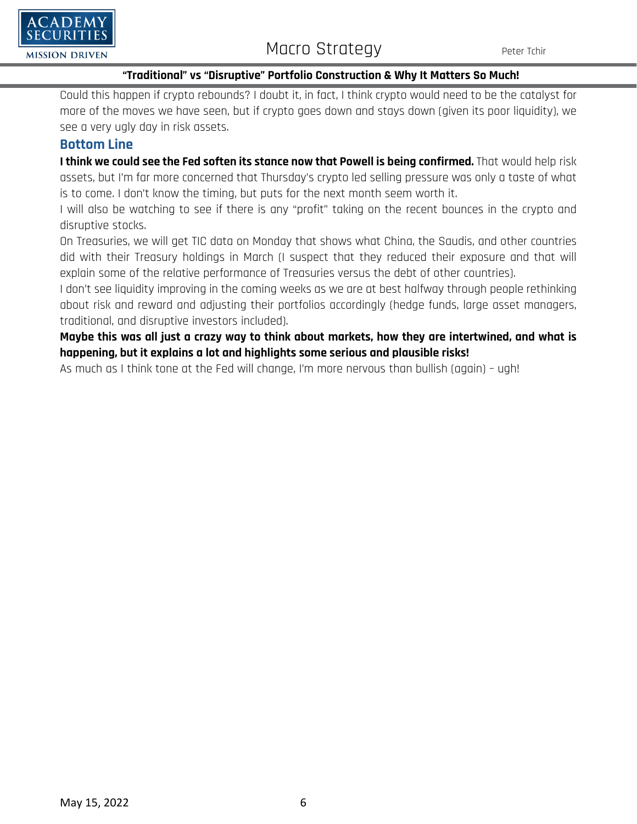

### **"Traditional" vs "Disruptive" Portfolio Construction & Why It Matters So Much!**

Could this happen if crypto rebounds? I doubt it, in fact, I think crypto would need to be the catalyst for more of the moves we have seen, but if crypto goes down and stays down (given its poor liquidity), we see a very ugly day in risk assets.

### **Bottom Line**

I think we could see the Fed soften its stance now that Powell is being confirmed. That would help risk assets, but I'm far more concerned that Thursday's crypto led selling pressure was only a taste of what is to come. I don't know the timing, but puts for the next month seem worth it.

I will also be watching to see if there is any "profit" taking on the recent bounces in the crypto and disruptive stocks.

On Treasuries, we will get TIC data on Monday that shows what China, the Saudis, and other countries did with their Treasury holdings in March (I suspect that they reduced their exposure and that will explain some of the relative performance of Treasuries versus the debt of other countries).

I don't see liquidity improving in the coming weeks as we are at best halfway through people rethinking about risk and reward and adjusting their portfolios accordingly (hedge funds, large asset managers, traditional, and disruptive investors included).

**Maybe this was all just a crazy way to think about markets, how they are intertwined, and what is happening, but it explains a lot and highlights some serious and plausible risks!**

As much as I think tone at the Fed will change, I'm more nervous than bullish (again) – ugh!